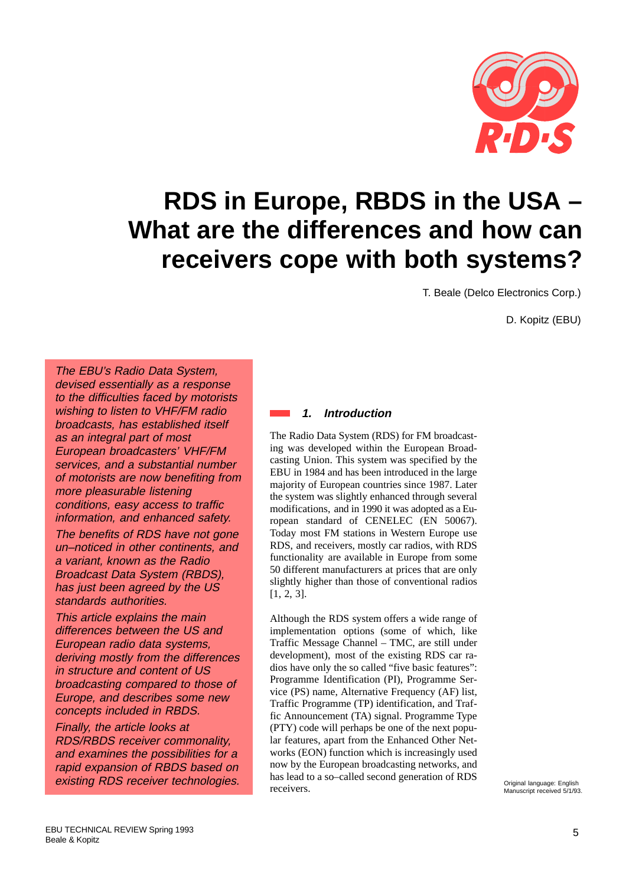

# **RDS in Europe, RBDS in the USA – What are the differences and how can receivers cope with both systems?**

T. Beale (Delco Electronics Corp.)

D. Kopitz (EBU)

The EBU's Radio Data System, devised essentially as a response to the difficulties faced by motorists wishing to listen to VHF/FM radio broadcasts, has established itself as an integral part of most European broadcasters' VHF/FM services, and a substantial number of motorists are now benefiting from more pleasurable listening conditions, easy access to traffic information, and enhanced safety.

The benefits of RDS have not gone un–noticed in other continents, and a variant, known as the Radio Broadcast Data System (RBDS), has just been agreed by the US standards authorities.

This article explains the main differences between the US and European radio data systems, deriving mostly from the differences in structure and content of US broadcasting compared to those of Europe, and describes some new concepts included in RBDS.

Finally, the article looks at RDS/RBDS receiver commonality, and examines the possibilities for a rapid expansion of RBDS based on existing RDS receiver technologies.

## **1. Introduction**

The Radio Data System (RDS) for FM broadcasting was developed within the European Broadcasting Union. This system was specified by the EBU in 1984 and has been introduced in the large majority of European countries since 1987. Later the system was slightly enhanced through several modifications, and in 1990 it was adopted as a European standard of CENELEC (EN 50067). Today most FM stations in Western Europe use RDS, and receivers, mostly car radios, with RDS functionality are available in Europe from some 50 different manufacturers at prices that are only slightly higher than those of conventional radios [1, 2, 3].

Although the RDS system offers a wide range of implementation options (some of which, like Traffic Message Channel – TMC, are still under development), most of the existing RDS car radios have only the so called "five basic features": Programme Identification (PI), Programme Service (PS) name, Alternative Frequency (AF) list, Traffic Programme (TP) identification, and Traffic Announcement (TA) signal. Programme Type (PTY) code will perhaps be one of the next popular features, apart from the Enhanced Other Networks (EON) function which is increasingly used now by the European broadcasting networks, and has lead to a so–called second generation of RDS receivers. Original language: English Manuscript received 5/1/93.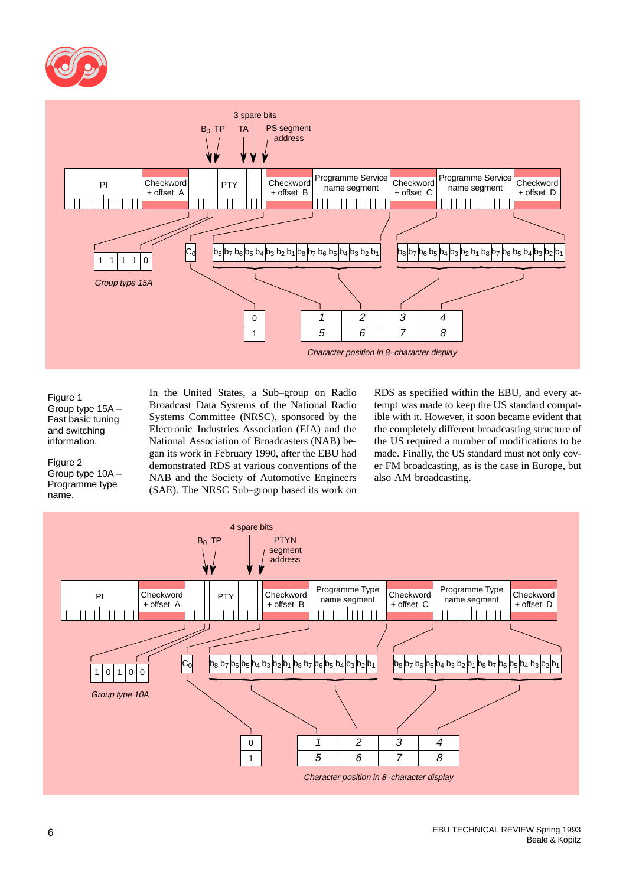



#### Figure 1 Group type 15A – Fast basic tuning and switching information.

Figure 2 Group type 10A – Programme type name.

In the United States, a Sub–group on Radio Broadcast Data Systems of the National Radio Systems Committee (NRSC), sponsored by the Electronic Industries Association (EIA) and the National Association of Broadcasters (NAB) began its work in February 1990, after the EBU had demonstrated RDS at various conventions of the NAB and the Society of Automotive Engineers (SAE). The NRSC Sub–group based its work on

RDS as specified within the EBU, and every attempt was made to keep the US standard compatible with it. However, it soon became evident that the completely different broadcasting structure of the US required a number of modifications to be made. Finally, the US standard must not only cover FM broadcasting, as is the case in Europe, but also AM broadcasting.

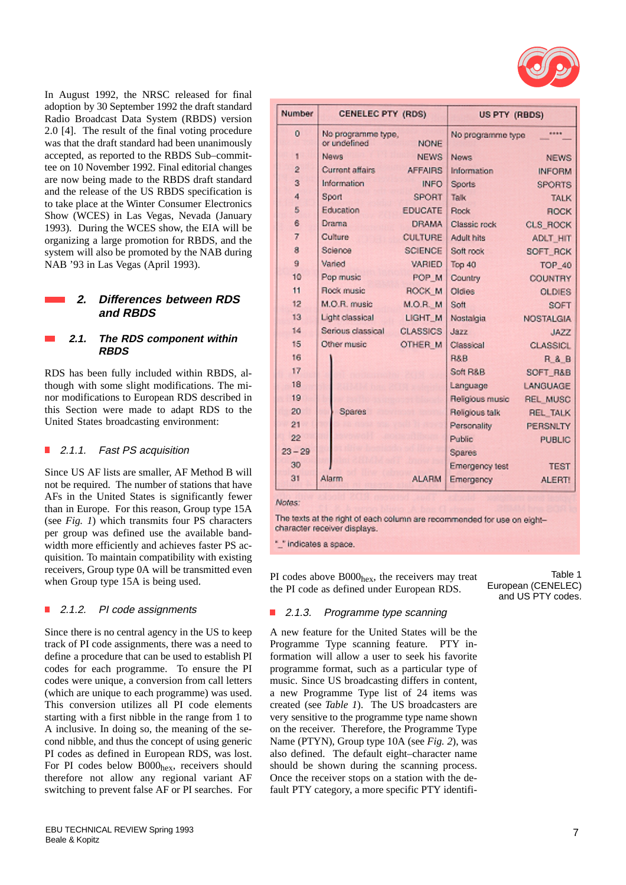

In August 1992, the NRSC released for final adoption by 30 September 1992 the draft standard Radio Broadcast Data System (RBDS) version 2.0 [4]. The result of the final voting procedure was that the draft standard had been unanimously accepted, as reported to the RBDS Sub–committee on 10 November 1992. Final editorial changes are now being made to the RBDS draft standard and the release of the US RBDS specification is to take place at the Winter Consumer Electronics Show (WCES) in Las Vegas, Nevada (January 1993). During the WCES show, the EIA will be organizing a large promotion for RBDS, and the system will also be promoted by the NAB during NAB '93 in Las Vegas (April 1993).

#### **2. Differences between RDS and RBDS**

#### **2.1. The RDS component within RBDS**

RDS has been fully included within RBDS, although with some slight modifications. The minor modifications to European RDS described in this Section were made to adapt RDS to the United States broadcasting environment:

#### П 2.1.1. Fast PS acquisition

Since US AF lists are smaller, AF Method B will not be required. The number of stations that have AFs in the United States is significantly fewer than in Europe. For this reason, Group type 15A (see *Fig. 1*) which transmits four PS characters per group was defined use the available bandwidth more efficiently and achieves faster PS acquisition. To maintain compatibility with existing receivers, Group type 0A will be transmitted even when Group type 15A is being used.

#### П 2.1.2. PI code assignments

Since there is no central agency in the US to keep track of PI code assignments, there was a need to define a procedure that can be used to establish PI codes for each programme. To ensure the PI codes were unique, a conversion from call letters (which are unique to each programme) was used. This conversion utilizes all PI code elements starting with a first nibble in the range from 1 to A inclusive. In doing so, the meaning of the second nibble, and thus the concept of using generic PI codes as defined in European RDS, was lost. For PI codes below B000<sub>hex</sub>, receivers should therefore not allow any regional variant AF switching to prevent false AF or PI searches. For

| Number         | <b>CENELEC PTY (RDS)</b>           |                 | US PTY (RBDS)      |                     |
|----------------|------------------------------------|-----------------|--------------------|---------------------|
| 0              | No programme type,<br>or undefined | <b>NONE</b>     | No programme type  | ****                |
| 1              | News                               | <b>NEWS</b>     | News.              | <b>NEWS</b>         |
| $\overline{2}$ | Current affairs.                   | <b>AFFAIRS</b>  | <b>Information</b> | <b>INFORM</b>       |
| 3              | Information                        | <b>INFO</b>     | Sports             | <b>SPORTS</b>       |
| 4              | Sport                              | <b>SPORT</b>    | Talk               | <b>TALK</b>         |
| S.             | Education                          | <b>EDUCATE</b>  | <b>Rock</b>        | <b>ROCK</b>         |
| 6              | Drama                              | <b>DRAMA</b>    | Classic rock       | <b>CLS ROCK</b>     |
| $\overline{7}$ | Culture                            | <b>CULTURE</b>  | <b>Adult hits</b>  | ADLT HIT            |
| $\mathbf{a}$   | Science                            | <b>SCIENCE</b>  | Soft rock          | SOFT RCK            |
| $\Omega$       | Varied                             | <b>VARIED</b>   | Top 40             | TOP 40              |
| 10             | Pop music                          | POP M           | Country            | <b>COUNTRY</b>      |
| 11             | Rock music                         | ROCK M          | Oldies             | <b>OLDIES</b>       |
| 12             | M.O.R. music                       | <b>M.O.R. M</b> | Soft               | <b>SOFT</b>         |
| 13             | Light classical                    | LIGHT_M         | Nostalgia          | <b>NOSTALGIA</b>    |
| 14             | Serious classical                  | <b>CLASSICS</b> | Jazz               | <b>JAZZ</b>         |
| 15             | Other music                        | OTHER M         | Classical          | <b>CLASSICL</b>     |
| 16             |                                    |                 | R&B                | <b>R &amp; B</b>    |
| 17             |                                    |                 | Soft R&B           | <b>SOFT R&amp;B</b> |
| 18             |                                    |                 | Language           | LANGUAGE            |
| 19             |                                    |                 | Religious music    | <b>REL MUSC</b>     |
| 20             | Spares                             |                 | Religious talk     | <b>REL_TALK</b>     |
| 21             |                                    |                 | Personality        | <b>PERSNLTY</b>     |
| 22             |                                    |                 | Public             | <b>PUBLIC</b>       |
| $23 - 29$      |                                    |                 | Spares             |                     |
| 30             |                                    |                 | Emergency test     | <b>TEST</b>         |
| 31             | Alarm                              | <b>ALARM</b>    | Emergency          | <b>ALERT!</b>       |

#### Notes:

The texts at the right of each column are recommended for use on eightcharacter receiver displays.

"\_" indicates a space.

PI codes above  $B000<sub>hex</sub>$ , the receivers may treat the PI code as defined under European RDS.

Table 1 European (CENELEC) and US PTY codes.

#### $\mathbb{R}^2$ 2.1.3. Programme type scanning

A new feature for the United States will be the Programme Type scanning feature. PTY information will allow a user to seek his favorite programme format, such as a particular type of music. Since US broadcasting differs in content, a new Programme Type list of 24 items was created (see *Table 1*). The US broadcasters are very sensitive to the programme type name shown on the receiver. Therefore, the Programme Type Name (PTYN), Group type 10A (see *Fig. 2*), was also defined. The default eight–character name should be shown during the scanning process. Once the receiver stops on a station with the default PTY category, a more specific PTY identifi-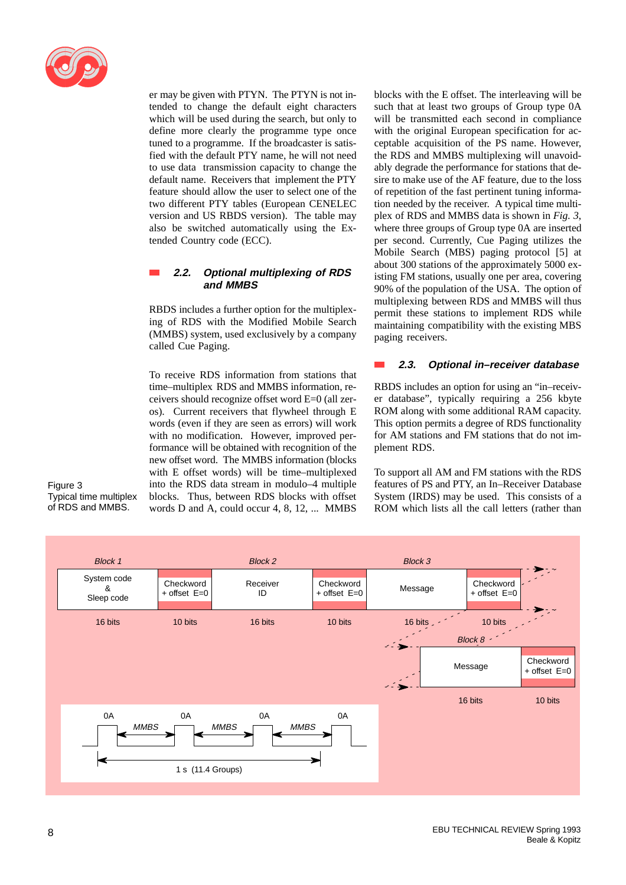

er may be given with PTYN. The PTYN is not intended to change the default eight characters which will be used during the search, but only to define more clearly the programme type once tuned to a programme. If the broadcaster is satisfied with the default PTY name, he will not need to use data transmission capacity to change the default name. Receivers that implement the PTY feature should allow the user to select one of the two different PTY tables (European CENELEC version and US RBDS version). The table may also be switched automatically using the Extended Country code (ECC).

## **2.2. Optional multiplexing of RDS and MMBS**

RBDS includes a further option for the multiplexing of RDS with the Modified Mobile Search (MMBS) system, used exclusively by a company called Cue Paging.

To receive RDS information from stations that time–multiplex RDS and MMBS information, receivers should recognize offset word E=0 (all zeros). Current receivers that flywheel through E words (even if they are seen as errors) will work with no modification. However, improved performance will be obtained with recognition of the new offset word. The MMBS information (blocks with E offset words) will be time–multiplexed into the RDS data stream in modulo–4 multiple blocks. Thus, between RDS blocks with offset words D and A, could occur 4, 8, 12, ... MMBS blocks with the E offset. The interleaving will be such that at least two groups of Group type 0A will be transmitted each second in compliance with the original European specification for acceptable acquisition of the PS name. However, the RDS and MMBS multiplexing will unavoidably degrade the performance for stations that desire to make use of the AF feature, due to the loss of repetition of the fast pertinent tuning information needed by the receiver. A typical time multiplex of RDS and MMBS data is shown in *Fig. 3*, where three groups of Group type 0A are inserted per second. Currently, Cue Paging utilizes the Mobile Search (MBS) paging protocol [5] at about 300 stations of the approximately 5000 existing FM stations, usually one per area, covering 90% of the population of the USA. The option of multiplexing between RDS and MMBS will thus permit these stations to implement RDS while maintaining compatibility with the existing MBS paging receivers.

#### **2.3. Optional in–receiver database**

RBDS includes an option for using an "in–receiver database", typically requiring a 256 kbyte ROM along with some additional RAM capacity. This option permits a degree of RDS functionality for AM stations and FM stations that do not implement RDS.

To support all AM and FM stations with the RDS features of PS and PTY, an In–Receiver Database System (IRDS) may be used. This consists of a ROM which lists all the call letters (rather than



Figure 3 Typical time multiplex of RDS and MMBS.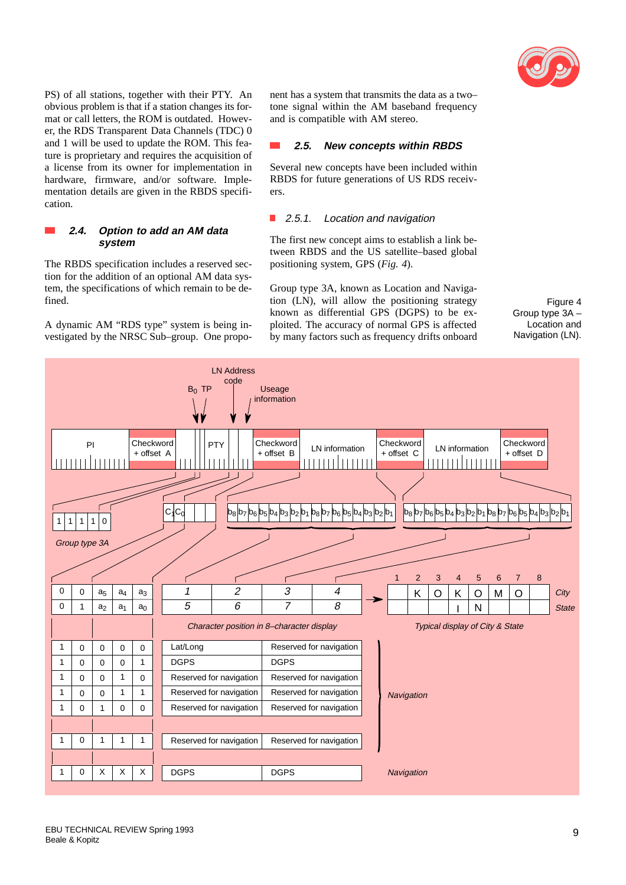

PS) of all stations, together with their PTY. An obvious problem is that if a station changes its format or call letters, the ROM is outdated. However, the RDS Transparent Data Channels (TDC) 0 and 1 will be used to update the ROM. This feature is proprietary and requires the acquisition of a license from its owner for implementation in hardware, firmware, and/or software. Implementation details are given in the RBDS specification.

#### **2.4. Option to add an AM data system**

The RBDS specification includes a reserved section for the addition of an optional AM data system, the specifications of which remain to be defined.

A dynamic AM "RDS type" system is being investigated by the NRSC Sub–group. One proponent has a system that transmits the data as a two– tone signal within the AM baseband frequency and is compatible with AM stereo.

#### $\sim$ **2.5. New concepts within RBDS**

Several new concepts have been included within RBDS for future generations of US RDS receivers.

#### ■ 2.5.1. Location and navigation

The first new concept aims to establish a link between RBDS and the US satellite–based global positioning system, GPS (*Fig. 4*).

Group type 3A, known as Location and Navigation (LN), will allow the positioning strategy known as differential GPS (DGPS) to be exploited. The accuracy of normal GPS is affected by many factors such as frequency drifts onboard

Figure 4 Group type 3A – Location and Navigation (LN).

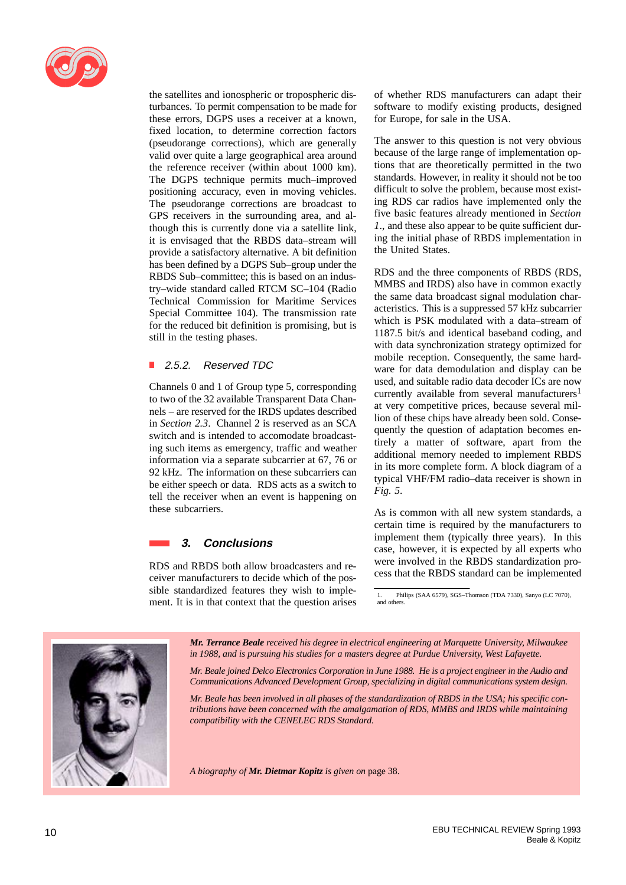

the satellites and ionospheric or tropospheric disturbances. To permit compensation to be made for these errors, DGPS uses a receiver at a known, fixed location, to determine correction factors (pseudorange corrections), which are generally valid over quite a large geographical area around the reference receiver (within about 1000 km). The DGPS technique permits much–improved positioning accuracy, even in moving vehicles. The pseudorange corrections are broadcast to GPS receivers in the surrounding area, and although this is currently done via a satellite link, it is envisaged that the RBDS data–stream will provide a satisfactory alternative. A bit definition has been defined by a DGPS Sub–group under the RBDS Sub–committee; this is based on an industry–wide standard called RTCM SC–104 (Radio Technical Commission for Maritime Services Special Committee 104). The transmission rate for the reduced bit definition is promising, but is still in the testing phases.

## ■ 2.5.2. Reserved TDC

Channels 0 and 1 of Group type 5, corresponding to two of the 32 available Transparent Data Channels – are reserved for the IRDS updates described in *Section 2.3*. Channel 2 is reserved as an SCA switch and is intended to accomodate broadcasting such items as emergency, traffic and weather information via a separate subcarrier at 67, 76 or 92 kHz. The information on these subcarriers can be either speech or data. RDS acts as a switch to tell the receiver when an event is happening on these subcarriers.

## **3. Conclusions**

RDS and RBDS both allow broadcasters and receiver manufacturers to decide which of the possible standardized features they wish to implement. It is in that context that the question arises of whether RDS manufacturers can adapt their software to modify existing products, designed for Europe, for sale in the USA.

The answer to this question is not very obvious because of the large range of implementation options that are theoretically permitted in the two standards. However, in reality it should not be too difficult to solve the problem, because most existing RDS car radios have implemented only the five basic features already mentioned in *Section 1*., and these also appear to be quite sufficient during the initial phase of RBDS implementation in the United States.

RDS and the three components of RBDS (RDS, MMBS and IRDS) also have in common exactly the same data broadcast signal modulation characteristics. This is a suppressed 57 kHz subcarrier which is PSK modulated with a data–stream of 1187.5 bit/s and identical baseband coding, and with data synchronization strategy optimized for mobile reception. Consequently, the same hardware for data demodulation and display can be used, and suitable radio data decoder ICs are now currently available from several manufacturers<sup>1</sup> at very competitive prices, because several million of these chips have already been sold. Consequently the question of adaptation becomes entirely a matter of software, apart from the additional memory needed to implement RBDS in its more complete form. A block diagram of a typical VHF/FM radio–data receiver is shown in *Fig. 5*.

As is common with all new system standards, a certain time is required by the manufacturers to implement them (typically three years). In this case, however, it is expected by all experts who were involved in the RBDS standardization process that the RBDS standard can be implemented



*Mr. Terrance Beale received his degree in electrical engineering at Marquette University, Milwaukee in 1988, and is pursuing his studies for a masters degree at Purdue University, West Lafayette.*

*Mr. Beale joined Delco Electronics Corporation in June 1988. He is a project engineer in the Audio and Communications Advanced Development Group, specializing in digital communications system design.*

*Mr. Beale has been involved in all phases of the standardization of RBDS in the USA; his specific contributions have been concerned with the amalgamation of RDS, MMBS and IRDS while maintaining compatibility with the CENELEC RDS Standard.*

*A biography of Mr. Dietmar Kopitz is given on* page 38.

<sup>1.</sup> Philips (SAA 6579), SGS–Thomson (TDA 7330), Sanyo (LC 7070), and others.